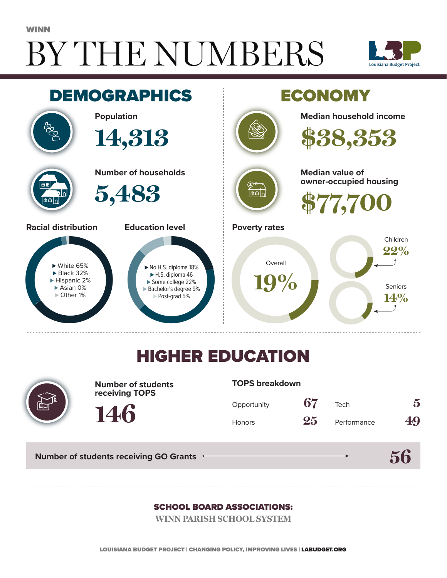# BY THE NUMBERS WINN





## HIGHER EDUCATION



**Number of students receiving TOPS**

#### **TOPS breakdown**

| Opportunity   | 67 | Tech        | 5  |
|---------------|----|-------------|----|
| <b>Honors</b> | 25 | Performance | 49 |

**56**

**Number of students receiving GO Grants**

**146**

#### SCHOOL BOARD ASSOCIATIONS:

**WINN PARISH SCHOOL SYSTEM**